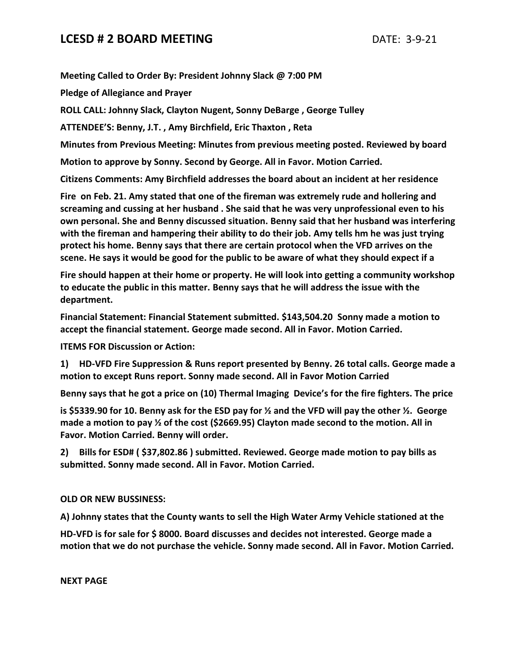## **LCESD # 2 BOARD MEETING** DATE: 3-9-21

**Meeting Called to Order By: President Johnny Slack @ 7:00 PM**

**Pledge of Allegiance and Prayer**

**ROLL CALL: Johnny Slack, Clayton Nugent, Sonny DeBarge , George Tulley**

**ATTENDEE'S: Benny, J.T. , Amy Birchfield, Eric Thaxton , Reta**

**Minutes from Previous Meeting: Minutes from previous meeting posted. Reviewed by board**

**Motion to approve by Sonny. Second by George. All in Favor. Motion Carried.**

**Citizens Comments: Amy Birchfield addresses the board about an incident at her residence**

**Fire on Feb. 21. Amy stated that one of the fireman was extremely rude and hollering and screaming and cussing at her husband . She said that he was very unprofessional even to his own personal. She and Benny discussed situation. Benny said that her husband was interfering with the fireman and hampering their ability to do their job. Amy tells hm he was just trying protect his home. Benny says that there are certain protocol when the VFD arrives on the scene. He says it would be good for the public to be aware of what they should expect if a** 

**Fire should happen at their home or property. He will look into getting a community workshop to educate the public in this matter. Benny says that he will address the issue with the department.**

**Financial Statement: Financial Statement submitted. \$143,504.20 Sonny made a motion to accept the financial statement. George made second. All in Favor. Motion Carried.**

**ITEMS FOR Discussion or Action:**

**1) HD-VFD Fire Suppression & Runs report presented by Benny. 26 total calls. George made a motion to except Runs report. Sonny made second. All in Favor Motion Carried**

**Benny says that he got a price on (10) Thermal Imaging Device's for the fire fighters. The price** 

**is \$5339.90 for 10. Benny ask for the ESD pay for ½ and the VFD will pay the other ½. George made a motion to pay ½ of the cost (\$2669.95) Clayton made second to the motion. All in Favor. Motion Carried. Benny will order.**

**2) Bills for ESD# ( \$37,802.86 ) submitted. Reviewed. George made motion to pay bills as submitted. Sonny made second. All in Favor. Motion Carried.**

**OLD OR NEW BUSSINESS:**

**A) Johnny states that the County wants to sell the High Water Army Vehicle stationed at the** 

**HD-VFD is for sale for \$ 8000. Board discusses and decides not interested. George made a motion that we do not purchase the vehicle. Sonny made second. All in Favor. Motion Carried.**

**NEXT PAGE**